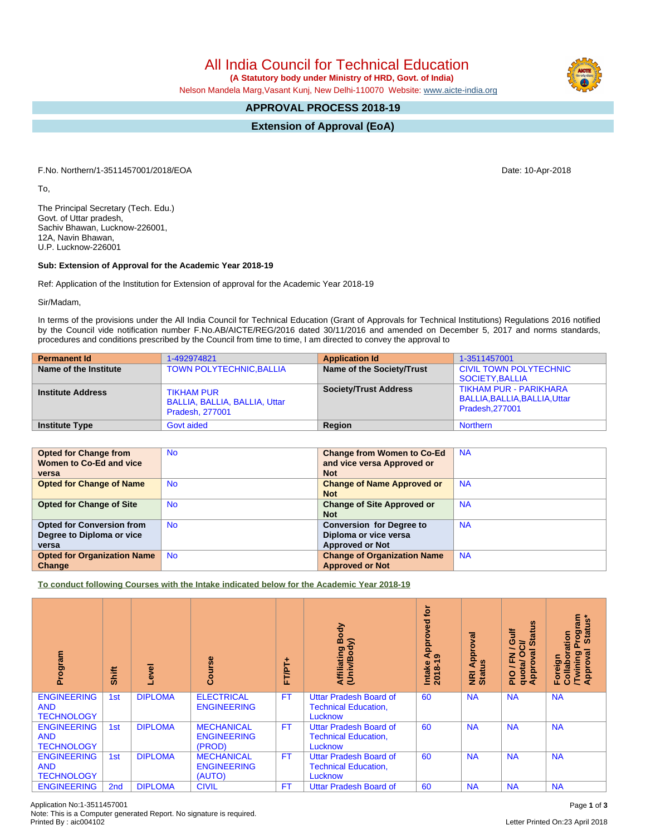# All India Council for Technical Education

 **(A Statutory body under Ministry of HRD, Govt. of India)**

Nelson Mandela Marg,Vasant Kunj, New Delhi-110070 Website: [www.aicte-india.org](http://www.aicte-india.org)

## **APPROVAL PROCESS 2018-19**

**Extension of Approval (EoA)**

F.No. Northern/1-3511457001/2018/EOA Date: 10-Apr-2018

To,

The Principal Secretary (Tech. Edu.) Govt. of Uttar pradesh, Sachiv Bhawan, Lucknow-226001, 12A, Navin Bhawan, U.P. Lucknow-226001

### **Sub: Extension of Approval for the Academic Year 2018-19**

Ref: Application of the Institution for Extension of approval for the Academic Year 2018-19

Sir/Madam,

In terms of the provisions under the All India Council for Technical Education (Grant of Approvals for Technical Institutions) Regulations 2016 notified by the Council vide notification number F.No.AB/AICTE/REG/2016 dated 30/11/2016 and amended on December 5, 2017 and norms standards, procedures and conditions prescribed by the Council from time to time, I am directed to convey the approval to

| <b>Permanent Id</b>      | 1-492974821                                                           | <b>Application Id</b>        | 1-3511457001                                                                     |
|--------------------------|-----------------------------------------------------------------------|------------------------------|----------------------------------------------------------------------------------|
| Name of the Institute    | <b>TOWN POLYTECHNIC, BALLIA</b>                                       | Name of the Society/Trust    | <b>CIVIL TOWN POLYTECHNIC</b><br>SOCIETY.BALLIA                                  |
| <b>Institute Address</b> | <b>TIKHAM PUR</b><br>BALLIA, BALLIA, BALLIA, Uttar<br>Pradesh, 277001 | <b>Society/Trust Address</b> | <b>TIKHAM PUR - PARIKHARA</b><br>BALLIA, BALLIA, BALLIA, Uttar<br>Pradesh.277001 |
| <b>Institute Type</b>    | <b>Govt aided</b>                                                     | Region                       | <b>Northern</b>                                                                  |

| <b>Opted for Change from</b>       | <b>No</b> | <b>Change from Women to Co-Ed</b>  | <b>NA</b> |
|------------------------------------|-----------|------------------------------------|-----------|
| Women to Co-Ed and vice            |           | and vice versa Approved or         |           |
| versa                              |           | <b>Not</b>                         |           |
| <b>Opted for Change of Name</b>    | <b>No</b> | <b>Change of Name Approved or</b>  | <b>NA</b> |
|                                    |           | <b>Not</b>                         |           |
| <b>Opted for Change of Site</b>    | <b>No</b> | <b>Change of Site Approved or</b>  | <b>NA</b> |
|                                    |           | <b>Not</b>                         |           |
| <b>Opted for Conversion from</b>   | <b>No</b> | <b>Conversion for Degree to</b>    | <b>NA</b> |
| Degree to Diploma or vice          |           | Diploma or vice versa              |           |
| versa                              |           | <b>Approved or Not</b>             |           |
| <b>Opted for Organization Name</b> | <b>No</b> | <b>Change of Organization Name</b> | <b>NA</b> |
| Change                             |           | <b>Approved or Not</b>             |           |

**To conduct following Courses with the Intake indicated below for the Academic Year 2018-19**

| Program                                               | Shift           | Level          | rse<br>යි                                         | ۰<br>FT/PT | Body<br>⋝<br>Affiliating<br>(Univ/Bod <sub>)</sub>                      | ē<br>Approved<br>െ<br>$2018 - 1$<br>Intake | Approval<br><b>Status</b><br>$\overline{g}$ | <b>Status</b><br>青<br>O<br>ఠె<br>o<br>g<br>준<br>quotal<br><b>Appro</b><br>$rac{Q}{R}$ | <b>rogram</b><br>Status*<br>Collaboration<br>ड़<br><b>Twining</b><br>Approval<br>Foreign |
|-------------------------------------------------------|-----------------|----------------|---------------------------------------------------|------------|-------------------------------------------------------------------------|--------------------------------------------|---------------------------------------------|---------------------------------------------------------------------------------------|------------------------------------------------------------------------------------------|
| <b>ENGINEERING</b><br><b>AND</b><br><b>TECHNOLOGY</b> | 1st             | <b>DIPLOMA</b> | <b>ELECTRICAL</b><br><b>ENGINEERING</b>           | <b>FT</b>  | <b>Uttar Pradesh Board of</b><br><b>Technical Education,</b><br>Lucknow | 60                                         | <b>NA</b>                                   | <b>NA</b>                                                                             | <b>NA</b>                                                                                |
| <b>ENGINEERING</b><br><b>AND</b><br><b>TECHNOLOGY</b> | 1st             | <b>DIPLOMA</b> | <b>MECHANICAL</b><br><b>ENGINEERING</b><br>(PROD) | <b>FT</b>  | <b>Uttar Pradesh Board of</b><br><b>Technical Education,</b><br>Lucknow | 60                                         | <b>NA</b>                                   | <b>NA</b>                                                                             | <b>NA</b>                                                                                |
| <b>ENGINEERING</b><br><b>AND</b><br><b>TECHNOLOGY</b> | 1st             | <b>DIPLOMA</b> | <b>MECHANICAL</b><br><b>ENGINEERING</b><br>(AUTO) | <b>FT</b>  | <b>Uttar Pradesh Board of</b><br><b>Technical Education,</b><br>Lucknow | 60                                         | <b>NA</b>                                   | <b>NA</b>                                                                             | <b>NA</b>                                                                                |
| <b>ENGINEERING</b>                                    | 2 <sub>nd</sub> | <b>DIPLOMA</b> | <b>CIVIL</b>                                      | <b>FT</b>  | <b>Uttar Pradesh Board of</b>                                           | 60                                         | <b>NA</b>                                   | <b>NA</b>                                                                             | <b>NA</b>                                                                                |

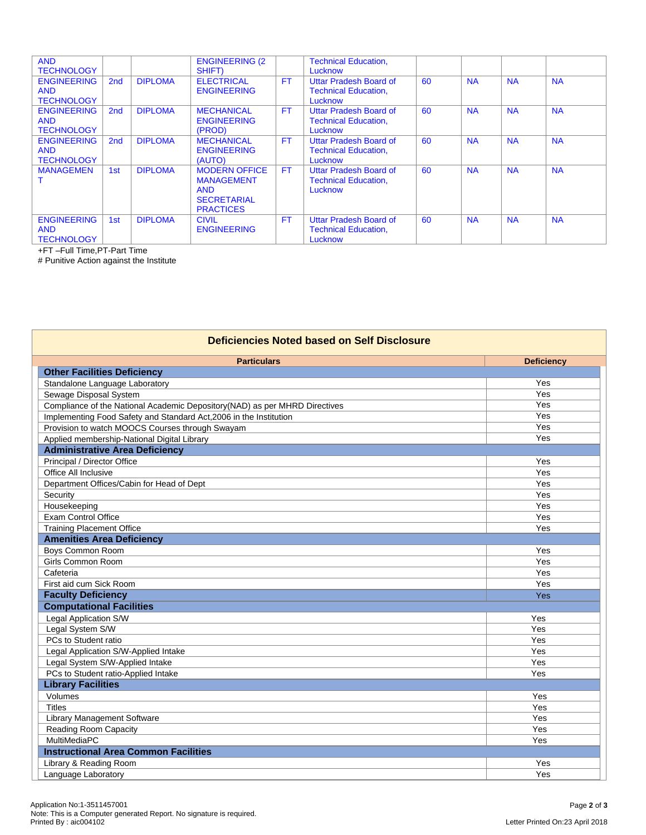| <b>AND</b><br><b>TECHNOLOGY</b>                       |                 |                | <b>ENGINEERING (2)</b><br>SHIFT)                                                                  |           | <b>Technical Education,</b><br>Lucknow                                  |    |           |           |           |
|-------------------------------------------------------|-----------------|----------------|---------------------------------------------------------------------------------------------------|-----------|-------------------------------------------------------------------------|----|-----------|-----------|-----------|
| <b>ENGINEERING</b><br><b>AND</b><br><b>TECHNOLOGY</b> | 2 <sub>nd</sub> | <b>DIPLOMA</b> | <b>ELECTRICAL</b><br><b>ENGINEERING</b>                                                           | <b>FT</b> | <b>Uttar Pradesh Board of</b><br><b>Technical Education,</b><br>Lucknow | 60 | <b>NA</b> | <b>NA</b> | <b>NA</b> |
| <b>ENGINEERING</b><br><b>AND</b><br><b>TECHNOLOGY</b> | 2 <sub>nd</sub> | <b>DIPLOMA</b> | <b>MECHANICAL</b><br><b>ENGINEERING</b><br>(PROD)                                                 | <b>FT</b> | <b>Uttar Pradesh Board of</b><br><b>Technical Education,</b><br>Lucknow | 60 | <b>NA</b> | <b>NA</b> | <b>NA</b> |
| <b>ENGINEERING</b><br><b>AND</b><br><b>TECHNOLOGY</b> | 2 <sub>nd</sub> | <b>DIPLOMA</b> | <b>MECHANICAL</b><br><b>ENGINEERING</b><br>(AUTO)                                                 | <b>FT</b> | <b>Uttar Pradesh Board of</b><br><b>Technical Education,</b><br>Lucknow | 60 | <b>NA</b> | <b>NA</b> | <b>NA</b> |
| <b>MANAGEMEN</b>                                      | 1st             | <b>DIPLOMA</b> | <b>MODERN OFFICE</b><br><b>MANAGEMENT</b><br><b>AND</b><br><b>SECRETARIAL</b><br><b>PRACTICES</b> | <b>FT</b> | <b>Uttar Pradesh Board of</b><br><b>Technical Education,</b><br>Lucknow | 60 | <b>NA</b> | <b>NA</b> | <b>NA</b> |
| <b>ENGINEERING</b><br><b>AND</b><br><b>TECHNOLOGY</b> | 1st             | <b>DIPLOMA</b> | <b>CIVIL</b><br><b>ENGINEERING</b>                                                                | <b>FT</b> | <b>Uttar Pradesh Board of</b><br><b>Technical Education,</b><br>Lucknow | 60 | <b>NA</b> | <b>NA</b> | <b>NA</b> |

+FT –Full Time,PT-Part Time

# Punitive Action against the Institute

| <b>Deficiencies Noted based on Self Disclosure</b>                         |                   |  |  |  |  |
|----------------------------------------------------------------------------|-------------------|--|--|--|--|
| <b>Particulars</b>                                                         | <b>Deficiency</b> |  |  |  |  |
| <b>Other Facilities Deficiency</b>                                         |                   |  |  |  |  |
| Standalone Language Laboratory                                             | Yes               |  |  |  |  |
| Sewage Disposal System                                                     | Yes               |  |  |  |  |
| Compliance of the National Academic Depository(NAD) as per MHRD Directives | Yes               |  |  |  |  |
| Implementing Food Safety and Standard Act, 2006 in the Institution         | Yes               |  |  |  |  |
| Provision to watch MOOCS Courses through Swayam                            | Yes               |  |  |  |  |
| Applied membership-National Digital Library                                | Yes               |  |  |  |  |
| <b>Administrative Area Deficiency</b>                                      |                   |  |  |  |  |
| Principal / Director Office                                                | Yes               |  |  |  |  |
| Office All Inclusive                                                       | Yes               |  |  |  |  |
| Department Offices/Cabin for Head of Dept                                  | Yes               |  |  |  |  |
| Security                                                                   | Yes               |  |  |  |  |
| Housekeeping                                                               | Yes               |  |  |  |  |
| Exam Control Office                                                        | Yes               |  |  |  |  |
| <b>Training Placement Office</b>                                           | Yes               |  |  |  |  |
| <b>Amenities Area Deficiency</b>                                           |                   |  |  |  |  |
| Boys Common Room                                                           | Yes               |  |  |  |  |
| Girls Common Room                                                          | Yes               |  |  |  |  |
| Cafeteria                                                                  | Yes               |  |  |  |  |
| First aid cum Sick Room                                                    | Yes               |  |  |  |  |
| <b>Faculty Deficiency</b>                                                  | Yes               |  |  |  |  |
| <b>Computational Facilities</b>                                            |                   |  |  |  |  |
| <b>Legal Application S/W</b>                                               | Yes               |  |  |  |  |
| Legal System S/W                                                           | Yes               |  |  |  |  |
| PCs to Student ratio                                                       | Yes               |  |  |  |  |
| Legal Application S/W-Applied Intake                                       | Yes               |  |  |  |  |
| Legal System S/W-Applied Intake                                            | Yes               |  |  |  |  |
| PCs to Student ratio-Applied Intake                                        | Yes               |  |  |  |  |
| <b>Library Facilities</b>                                                  |                   |  |  |  |  |
| Volumes                                                                    | Yes               |  |  |  |  |
| <b>Titles</b>                                                              | Yes               |  |  |  |  |
| Library Management Software                                                | Yes               |  |  |  |  |
| <b>Reading Room Capacity</b>                                               | Yes               |  |  |  |  |
| MultiMediaPC                                                               | Yes               |  |  |  |  |
| <b>Instructional Area Common Facilities</b>                                |                   |  |  |  |  |
| Library & Reading Room<br>Yes                                              |                   |  |  |  |  |
| Language Laboratory                                                        | Yes               |  |  |  |  |